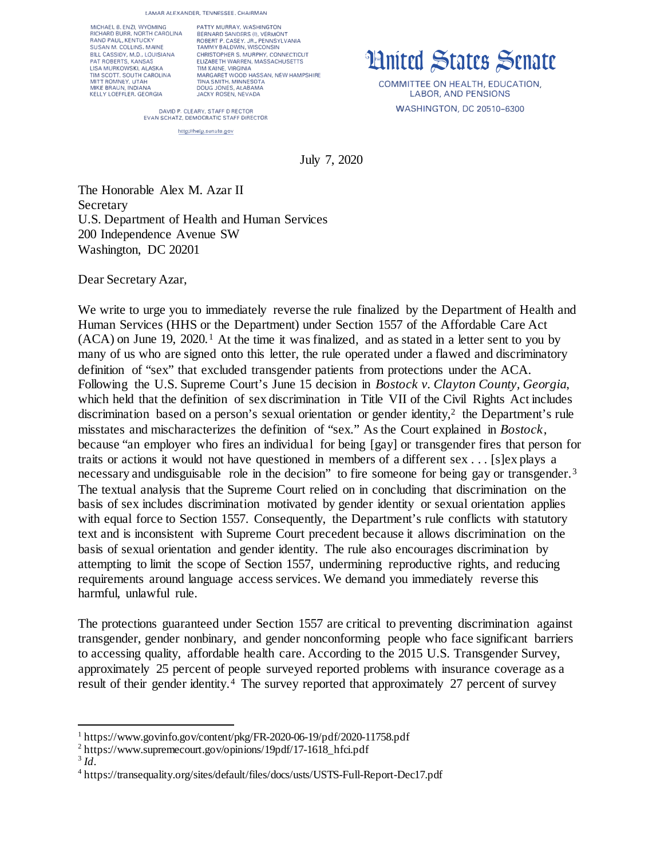**LAMAR ALEXANDER, TENNESSEE, CHAIRMAN** 

MICHAEL 8. ENZI, WYOMING RICHARD BURR. NORTH CARDUNA RANO PAUL, KENTUCKY SUSAN M. COLLINS, MAINE BILL CASSIDY, M.D., LOUISIANA<br>PAT ROBERTS, KANSAS LISA MURKOWSKI, ALASKA TIM SCOTT. SOUTH CAROLINA MITT ROMNEY. UTAH MIKE BRAUN, IN DIANA KELLY LOEFFLER, GEORGIA

PATTY MURRAY, WASHINGTON BERNARD SANDERS (I), VERMONT ROBERT P. CASEY, JR., PENNSYLVANIA TAMMY BALDWIN, WISCONSIN CHRISTOPHER S. MURPHY, CONNECTICUT ELIZABETH WARREN, MASSACHUSETTS TIM KAINE, VIRGINIA MARGARET WOOD HASSAN, NEW HAMPSHIRE **TINA SMITH. MINNESOTA**  DOUG JONES, ALABAMA JACKY ROSEN, NEVADA

**Hnited States Senate** 

COMMITTEE ON HEALTH, EDUCATION, LABOR, AND PENSIONS WASHINGTON, DC 20510-6300

DAVID P. CLEARY, STAFF D RECTOR **EVAN SCHATZ, DEMOCRATIC STAFF DIRECTOR** 

http://help.senate.gov

July 7, 2020

The Honorable Alex M. Azar II Secretary U.S. Department of Health and Human Services 200 Independence Avenue SW Washington, DC 20201

Dear Secretary Azar,

We write to urge you to immediately reverse the rule finalized by the Department of Health and Human Services (HHS or the Department) under Section 1557 of the Affordable Care Act  $(ACA)$  on June [1](#page-0-0)9, 2020.<sup>1</sup> At the time it was finalized, and as stated in a letter sent to you by many of us who are signed onto this letter, the rule operated under a flawed and discriminatory definition of "sex" that excluded transgender patients from protections under the ACA. Following the U.S. Supreme Court's June 15 decision in *Bostock v. Clayton County, Georgia*, which held that the definition of sex discrimination in Title VII of the Civil Rights Act includes discrimination based on a person's sexual orientation or gender identity,<sup>[2](#page-0-1)</sup> the Department's rule misstates and mischaracterizes the definition of "sex." As the Court explained in *Bostock*, because "an employer who fires an individual for being [gay] or transgender fires that person for traits or actions it would not have questioned in members of a different sex . . . [s]ex plays a necessary and undisguisable role in the decision" to fire someone for being gay or transgender.<sup>[3](#page-0-2)</sup> The textual analysis that the Supreme Court relied on in concluding that discrimination on the basis of sex includes discrimination motivated by gender identity or sexual orientation applies with equal force to Section 1557. Consequently, the Department's rule conflicts with statutory text and is inconsistent with Supreme Court precedent because it allows discrimination on the basis of sexual orientation and gender identity. The rule also encourages discrimination by attempting to limit the scope of Section 1557, undermining reproductive rights, and reducing requirements around language access services. We demand you immediately reverse this harmful, unlawful rule.

The protections guaranteed under Section 1557 are critical to preventing discrimination against transgender, gender nonbinary, and gender nonconforming people who face significant barriers to accessing quality, affordable health care. According to the 2015 U.S. Transgender Survey, approximately 25 percent of people surveyed reported problems with insurance coverage as a result of their gender identity.[4](#page-0-3) The survey reported that approximately 27 percent of survey

<span id="page-0-1"></span><span id="page-0-0"></span><sup>&</sup>lt;sup>1</sup>https://www.govinfo.gov/content/pkg/FR-2020-06-19/pdf/2020-11758.pdf<br>
<sup>2</sup>https://www.supremecourt.gov/opinions/19pdf/17-1618\_hfci.pdf<br>
<sup>3</sup>Id.<br>
<sup>4</sup>https://transequality.org/sites/default/files/docs/usts/USTS-Full-Report

<span id="page-0-2"></span>

<span id="page-0-3"></span>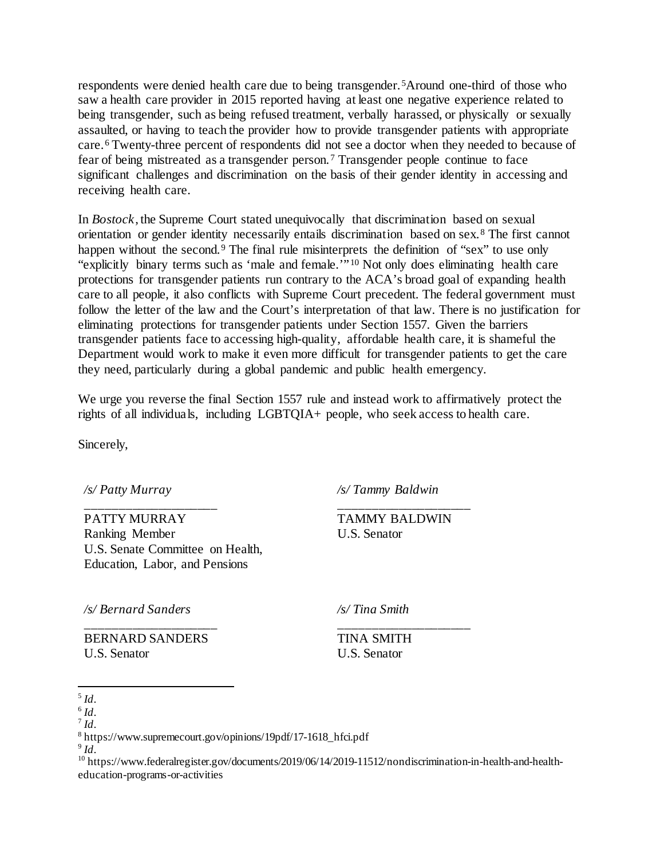respondents were denied health care due to being transgender.[5](#page-1-0)Around one-third of those who saw a health care provider in 2015 reported having at least one negative experience related to being transgender, such as being refused treatment, verbally harassed, or physically or sexually assaulted, or having to teach the provider how to provide transgender patients with appropriate care.[6](#page-1-1) Twenty-three percent of respondents did not see a doctor when they needed to because of fear of being mistreated as a transgender person.[7](#page-1-2) Transgender people continue to face significant challenges and discrimination on the basis of their gender identity in accessing and receiving health care.

In *Bostock*, the Supreme Court stated unequivocally that discrimination based on sexual orientation or gender identity necessarily entails discrimination based on sex.[8](#page-1-3) The first cannot happen without the second.<sup>[9](#page-1-4)</sup> The final rule misinterprets the definition of "sex" to use only "explicitly binary terms such as 'male and female.'" [10](#page-1-5) Not only does eliminating health care protections for transgender patients run contrary to the ACA's broad goal of expanding health care to all people, it also conflicts with Supreme Court precedent. The federal government must follow the letter of the law and the Court's interpretation of that law. There is no justification for eliminating protections for transgender patients under Section 1557. Given the barriers transgender patients face to accessing high-quality, affordable health care, it is shameful the Department would work to make it even more difficult for transgender patients to get the care they need, particularly during a global pandemic and public health emergency.

We urge you reverse the final Section 1557 rule and instead work to affirmatively protect the rights of all individuals, including LGBTQIA+ people, who seek access to health care.

Sincerely,

*/s/ Patty Murray*

\_\_\_\_\_\_\_\_\_\_\_\_\_\_\_\_\_\_\_\_

PATTY MURRAY Ranking Member U.S. Senate Committee on Health, Education, Labor, and Pensions

*/s/ Tammy Baldwin*

TAMMY BALDWIN U.S. Senator

\_\_\_\_\_\_\_\_\_\_\_\_\_\_\_\_\_\_\_\_

\_\_\_\_\_\_\_\_\_\_\_\_\_\_\_\_\_\_\_\_

*/s/ Bernard Sanders*

\_\_\_\_\_\_\_\_\_\_\_\_\_\_\_\_\_\_\_\_ BERNARD SANDERS U.S. Senator

*/s/ Tina Smith*

TINA SMITH U.S. Senator

 $\overline{a}$ 

<span id="page-1-1"></span>

<span id="page-1-2"></span>

<span id="page-1-5"></span><span id="page-1-4"></span><span id="page-1-3"></span>

<span id="page-1-0"></span><sup>&</sup>lt;sup>5</sup> *Id*.<br><sup>6</sup> *Id*.<br><sup>7</sup> *Id*.<br>8 https://www.supremecourt.gov/opinions/19pdf/17-1618\_hfci.pdf<br>9 *Id*.<br><sup>10</sup> https://www.federalregister.gov/documents/2019/06/14/2019-11512/nondiscrimination-in-health-and-healtheducation-programs-or-activities